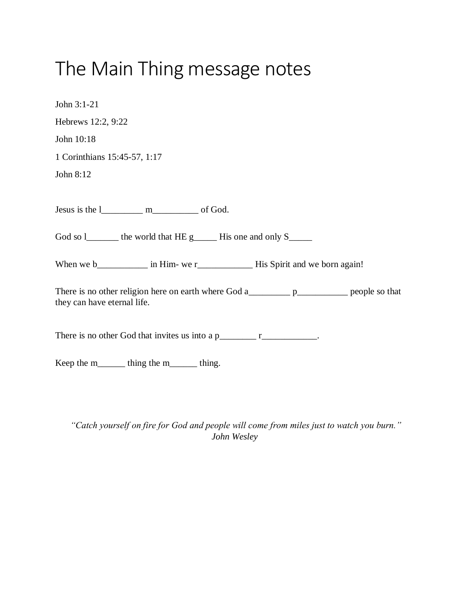## The Main Thing message notes

| John $3:1-21$                                                      |
|--------------------------------------------------------------------|
| Hebrews 12:2, 9:22                                                 |
| John 10:18                                                         |
| 1 Corinthians 15:45-57, 1:17                                       |
| John 8:12                                                          |
|                                                                    |
|                                                                    |
| God so 1 _______ the world that HE g______ His one and only S_____ |
|                                                                    |
| they can have eternal life.                                        |
| There is no other God that invites us into a $p_1$ $r_2$ $r_3$ .   |
| Keep the m________ thing the m________ thing.                      |

*"Catch yourself on fire for God and people will come from miles just to watch you burn." John Wesley*